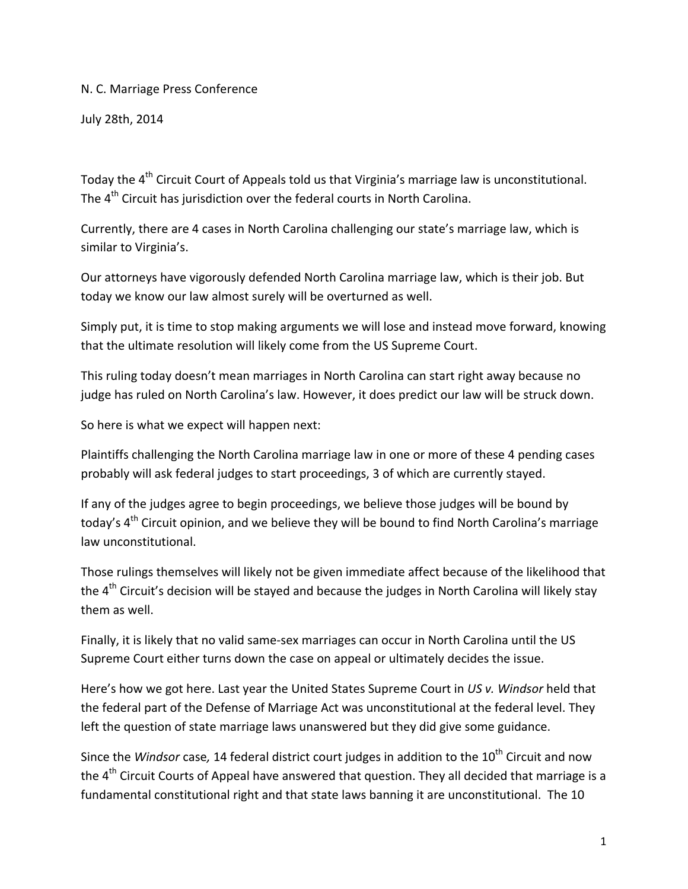N. C. Marriage Press Conference

July 28th, 2014

Todav the 4<sup>th</sup> Circuit Court of Appeals told us that Virginia's marriage law is unconstitutional. The  $4<sup>th</sup>$  Circuit has jurisdiction over the federal courts in North Carolina.

Currently, there are 4 cases in North Carolina challenging our state's marriage law, which is similar to Virginia's.

Our attorneys have vigorously defended North Carolina marriage law, which is their job. But today we know our law almost surely will be overturned as well.

Simply put, it is time to stop making arguments we will lose and instead move forward, knowing that the ultimate resolution will likely come from the US Supreme Court.

This ruling today doesn't mean marriages in North Carolina can start right away because no judge has ruled on North Carolina's law. However, it does predict our law will be struck down.

So here is what we expect will happen next:

Plaintiffs challenging the North Carolina marriage law in one or more of these 4 pending cases probably will ask federal judges to start proceedings, 3 of which are currently stayed.

If any of the judges agree to begin proceedings, we believe those judges will be bound by today's  $4<sup>th</sup>$  Circuit opinion, and we believe they will be bound to find North Carolina's marriage law unconstitutional.

Those rulings themselves will likely not be given immediate affect because of the likelihood that the 4<sup>th</sup> Circuit's decision will be stayed and because the judges in North Carolina will likely stay them as well.

Finally, it is likely that no valid same‐sex marriages can occur in North Carolina until the US Supreme Court either turns down the case on appeal or ultimately decides the issue.

Here's how we got here. Last year the United States Supreme Court in *US v. Windsor* held that the federal part of the Defense of Marriage Act was unconstitutional at the federal level. They left the question of state marriage laws unanswered but they did give some guidance.

Since the *Windsor* case, 14 federal district court judges in addition to the 10<sup>th</sup> Circuit and now the 4<sup>th</sup> Circuit Courts of Appeal have answered that question. They all decided that marriage is a fundamental constitutional right and that state laws banning it are unconstitutional. The 10